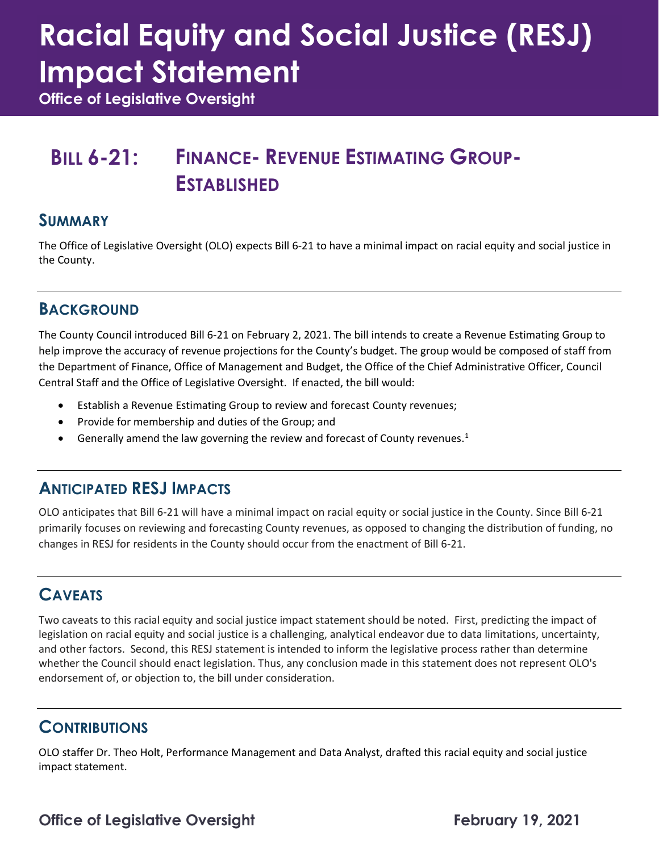# **Racial Equity and Social Justice (RESJ) Impact Statement**

**Office of Legislative Oversight**

## **BILL 6-21: FINANCE- REVENUE ESTIMATING GROUP-ESTABLISHED**

#### **SUMMARY**

The Office of Legislative Oversight (OLO) expects Bill 6-21 to have a minimal impact on racial equity and social justice in the County.

#### **BACKGROUND**

The County Council introduced Bill 6-21 on February 2, 2021. The bill intends to create a Revenue Estimating Group to help improve the accuracy of revenue projections for the County's budget. The group would be composed of staff from the Department of Finance, Office of Management and Budget, the Office of the Chief Administrative Officer, Council Central Staff and the Office of Legislative Oversight. If enacted, the bill would:

- Establish a Revenue Estimating Group to review and forecast County revenues;
- Provide for membership and duties of the Group; and
- Generally amend the law governing the review and forecast of County revenues.<sup>[1](#page-1-0)</sup>

#### **ANTICIPATED RESJ IMPACTS**

OLO anticipates that Bill 6-21 will have a minimal impact on racial equity or social justice in the County. Since Bill 6-21 primarily focuses on reviewing and forecasting County revenues, as opposed to changing the distribution of funding, no changes in RESJ for residents in the County should occur from the enactment of Bill 6-21.

#### **CAVEATS**

Two caveats to this racial equity and social justice impact statement should be noted. First, predicting the impact of legislation on racial equity and social justice is a challenging, analytical endeavor due to data limitations, uncertainty, and other factors. Second, this RESJ statement is intended to inform the legislative process rather than determine whether the Council should enact legislation. Thus, any conclusion made in this statement does not represent OLO's endorsement of, or objection to, the bill under consideration.

#### **CONTRIBUTIONS**

OLO staffer Dr. Theo Holt, Performance Management and Data Analyst, drafted this racial equity and social justice impact statement.

### **Office of Legislative Oversight February 19, 2021**